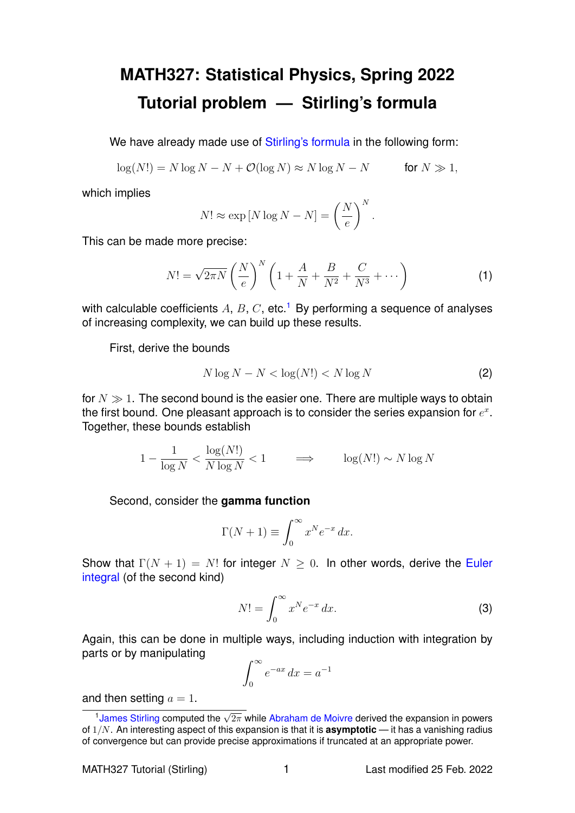## **MATH327: Statistical Physics, Spring 2022 Tutorial problem — Stirling's formula**

We have already made use of [Stirling's formula](https://en.wikipedia.org/wiki/Stirling) in the following form:

 $\log(N!) = N \log N - N + \mathcal{O}(\log N) \approx N \log N - N$  for  $N \gg 1$ ,

which implies

$$
N! \approx \exp[N \log N - N] = \left(\frac{N}{e}\right)^N
$$

This can be made more precise:

<span id="page-0-1"></span>
$$
N! = \sqrt{2\pi N} \left(\frac{N}{e}\right)^N \left(1 + \frac{A}{N} + \frac{B}{N^2} + \frac{C}{N^3} + \cdots\right)
$$
 (1)

.

with calculable coefficients A, B, C, etc.<sup>[1](#page-0-0)</sup> By performing a sequence of analyses of increasing complexity, we can build up these results.

First, derive the bounds

$$
N \log N - N < \log(N!) < N \log N \tag{2}
$$

for  $N \gg 1$ . The second bound is the easier one. There are multiple ways to obtain the first bound. One pleasant approach is to consider the series expansion for  $e^x$ . Together, these bounds establish

$$
1 - \frac{1}{\log N} < \frac{\log(N!)}{N \log N} < 1 \qquad \implies \qquad \log(N!) \sim N \log N
$$

Second, consider the **gamma function**

$$
\Gamma(N+1) \equiv \int_0^\infty x^N e^{-x} \, dx.
$$

Show that  $\Gamma(N + 1) = N!$  for integer  $N \geq 0$ . In other words, derive the [Euler](https://en.wikipedia.org/wiki/Euler_integral) [integral](https://en.wikipedia.org/wiki/Euler_integral) (of the second kind)

$$
N! = \int_0^\infty x^N e^{-x} dx.
$$
 (3)

Again, this can be done in multiple ways, including induction with integration by parts or by manipulating

$$
\int_0^\infty e^{-ax} \, dx = a^{-1}
$$

and then setting  $a = 1$ .

<span id="page-0-0"></span><sup>1</sup>[James Stirling](https://en.wikipedia.org/wiki/James_Stirling_(mathematician)) computed the  $\sqrt{2\pi}$  while [Abraham de Moivre](https://en.wikipedia.org/wiki/Abraham_de_Moivre) derived the expansion in powers of 1/N. An interesting aspect of this expansion is that it is **asymptotic** — it has a vanishing radius of convergence but can provide precise approximations if truncated at an appropriate power.